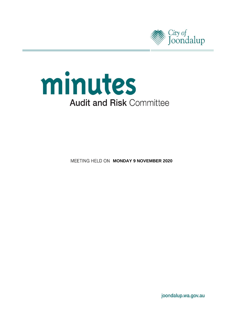



**MEETING HELD ON MONDAY 9 NOVEMBER 2020** 

joondalup.wa.gov.au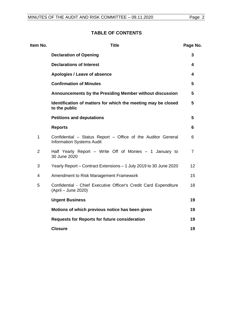# **TABLE OF CONTENTS**

| Item No.       | <b>Title</b>                                                                                     | Page No. |
|----------------|--------------------------------------------------------------------------------------------------|----------|
|                | <b>Declaration of Opening</b>                                                                    | 3        |
|                | <b>Declarations of Interest</b>                                                                  | 4        |
|                | Apologies / Leave of absence                                                                     | 4        |
|                | <b>Confirmation of Minutes</b>                                                                   | 5        |
|                | Announcements by the Presiding Member without discussion                                         | 5        |
|                | Identification of matters for which the meeting may be closed<br>to the public                   | 5        |
|                | <b>Petitions and deputations</b>                                                                 | 5        |
|                | <b>Reports</b>                                                                                   | 6        |
| $\mathbf 1$    | Confidential - Status Report - Office of the Auditor General<br><b>Information Systems Audit</b> | 6        |
| $\overline{2}$ | Half Yearly Report - Write Off of Monies - 1 January to<br>30 June 2020                          | 7        |
| 3              | Yearly Report – Contract Extensions – 1 July 2019 to 30 June 2020                                | 12       |
| $\overline{4}$ | Amendment to Risk Management Framework                                                           | 15       |
| 5              | Confidential - Chief Executive Officer's Credit Card Expenditure<br>(April – June 2020)          | 18       |
|                | <b>Urgent Business</b>                                                                           | 19       |
|                | Motions of which previous notice has been given                                                  | 19       |
|                | <b>Requests for Reports for future consideration</b>                                             | 19       |
|                | <b>Closure</b>                                                                                   | 19       |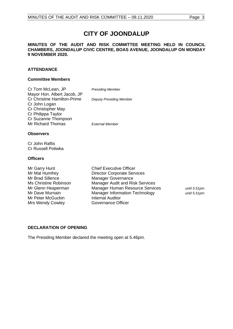# **CITY OF JOONDALUP**

#### **MINUTES OF THE AUDIT AND RISK COMMITTEE MEETING HELD IN COUNCIL CHAMBERS, JOONDALUP CIVIC CENTRE, BOAS AVENUE, JOONDALUP ON MONDAY 9 NOVEMBER 2020.**

#### **ATTENDANCE**

#### **Committee Members**

| Cr Tom McLean, JP                  | <b>Presiding Member</b>        |
|------------------------------------|--------------------------------|
| Mayor Hon. Albert Jacob, JP        |                                |
| <b>Cr Christine Hamilton-Prime</b> | <b>Deputy Presiding Member</b> |
| Cr John Logan                      |                                |
| Cr Christopher May                 |                                |
| Cr Philippa Taylor                 |                                |
| Cr Suzanne Thompson                |                                |
| <b>Mr Richard Thomas</b>           | External Member                |
|                                    |                                |
|                                    |                                |

#### **Observers**

Cr John Raftis Cr Russell Poliwka

#### **Officers**

Mr Peter McGuckin Mrs Wendy Cowley **Governance Officer** 

Mr Garry Hunt Chief Executive Officer Mr Mat Humfrey **Director Corporate Services**<br>Mr Brad Sillence Manager Governance Manager Governance Ms Christine Robinson Manager Audit and Risk Services Mr Glenn Heaperman Manager Human Resource Services *until 5.51pm* Mr Dave Murnain **Manager Information Technology** *until 5.51pm*<br>Mr Peter McGuckin **Manager Internal Auditor** 

### <span id="page-2-0"></span>**DECLARATION OF OPENING**

The Presiding Member declared the meeting open at 5.46pm.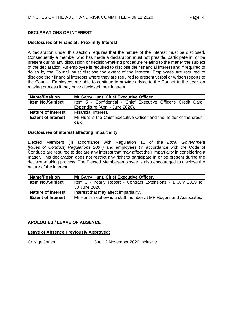#### <span id="page-3-0"></span>**DECLARATIONS OF INTEREST**

#### **Disclosures of Financial / Proximity Interest**

A declaration under this section requires that the nature of the interest must be disclosed. Consequently a member who has made a declaration must not preside, participate in, or be present during any discussion or decision-making procedure relating to the matter the subject of the declaration. An employee is required to disclose their financial interest and if required to do so by the Council must disclose the extent of the interest. Employees are required to disclose their financial interests where they are required to present verbal or written reports to the Council. Employees are able to continue to provide advice to the Council in the decision making process if they have disclosed their interest.

| <b>Name/Position</b>      | Mr Garry Hunt, Chief Executive Officer.                             |  |
|---------------------------|---------------------------------------------------------------------|--|
| <b>Item No./Subject</b>   | Item 5 - Confidential - Chief Executive Officer's Credit Card       |  |
|                           | Expenditure (April - June 2020).                                    |  |
| <b>Nature of interest</b> | Financial Interest.                                                 |  |
| <b>Extent of Interest</b> | Mr Hunt is the Chief Executive Officer and the holder of the credit |  |
|                           | card.                                                               |  |

#### **Disclosures of interest affecting impartiality**

Elected Members (in accordance with Regulation 11 of the *Local Government [Rules of Conduct] Regulations 2007)* and employees (in accordance with the Code of Conduct) are required to declare any interest that may affect their impartiality in considering a matter. This declaration does not restrict any right to participate in or be present during the decision-making process. The Elected Member/employee is also encouraged to disclose the nature of the interest.

| <b>Name/Position</b>      | Mr Garry Hunt, Chief Executive Officer.                         |  |
|---------------------------|-----------------------------------------------------------------|--|
| <b>Item No./Subject</b>   | Item 3 - Yearly Report - Contract Extensions - 1 July 2019 to   |  |
|                           | 30 June 2020.                                                   |  |
| <b>Nature of interest</b> | Interest that may affect impartiality.                          |  |
| <b>Extent of Interest</b> | Mr Hunt's nephew is a staff member at MP Rogers and Associates. |  |

#### <span id="page-3-1"></span>**APOLOGIES / LEAVE OF ABSENCE**

#### **Leave of Absence Previously Approved:**

Cr Nige Jones 3 to 12 November 2020 inclusive.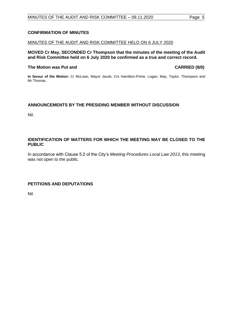# <span id="page-4-0"></span>**CONFIRMATION OF MINUTES**

#### MINUTES OF THE AUDIT AND RISK COMMITTEE HELD ON 6 JULY 2020

**MOVED Cr May, SECONDED Cr Thompson that the minutes of the meeting of the Audit and Risk Committee held on 6 July 2020 be confirmed as a true and correct record.**

### **The Motion was Put and CARRIED (8/0)**

**In favour of the Motion:** Cr McLean, Mayor Jacob, Crs Hamilton-Prime, Logan, May, Taylor, Thompson and Mr Thomas.

#### <span id="page-4-1"></span>**ANNOUNCEMENTS BY THE PRESIDING MEMBER WITHOUT DISCUSSION**

Nil.

#### <span id="page-4-2"></span>**IDENTIFICATION OF MATTERS FOR WHICH THE MEETING MAY BE CLOSED TO THE PUBLIC**

In accordance with Clause 5.2 of the City's *Meeting Procedures Local Law 2013*, this meeting was not open to the public.

### <span id="page-4-3"></span>**PETITIONS AND DEPUTATIONS**

Nil.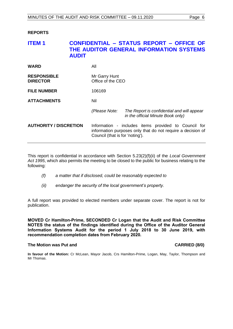#### <span id="page-5-0"></span>**REPORTS**

## <span id="page-5-1"></span>**ITEM 1 CONFIDENTIAL – STATUS REPORT – OFFICE OF THE AUDITOR GENERAL INFORMATION SYSTEMS AUDIT**

| <b>WARD</b>                           | All                                |                                                                                                                     |
|---------------------------------------|------------------------------------|---------------------------------------------------------------------------------------------------------------------|
| <b>RESPONSIBLE</b><br><b>DIRECTOR</b> | Mr Garry Hunt<br>Office of the CEO |                                                                                                                     |
| <b>FILE NUMBER</b>                    | 106169                             |                                                                                                                     |
| <b>ATTACHMENTS</b>                    | Nil                                |                                                                                                                     |
|                                       | (Please Note:                      | The Report is confidential and will appear<br>in the official Minute Book only)                                     |
| <b>AUTHORITY / DISCRETION</b>         | Council (that is for 'noting').    | Information - includes items provided to Council for<br>information purposes only that do not require a decision of |

This report is confidential in accordance with Section 5.23(2)(f)(ii) of the *Local Government Act 1995*, which also permits the meeting to be closed to the public for business relating to the following:

- *(f) a matter that if disclosed, could be reasonably expected to*
- *(ii) endanger the security of the local government's property.*

A full report was provided to elected members under separate cover. The report is not for publication.

**MOVED Cr Hamilton-Prime, SECONDED Cr Logan that the Audit and Risk Committee NOTES the status of the findings identified during the Office of the Auditor General Information Systems Audit for the period 1 July 2018 to 30 June 2019, with recommendation completion dates from February 2020.**

#### **The Motion was Put and CARRIED (8/0)**

**In favour of the Motion:** Cr McLean, Mayor Jacob, Crs Hamilton-Prime, Logan, May, Taylor, Thompson and Mr Thomas.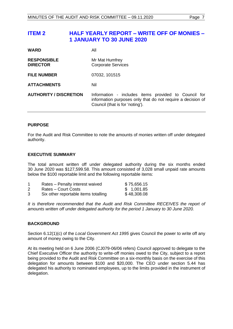# <span id="page-6-0"></span>**ITEM 2 HALF YEARLY REPORT – WRITE OFF OF MONIES – 1 JANUARY TO 30 JUNE 2020**

| <b>WARD</b>                           | All                                                                                                                                                    |
|---------------------------------------|--------------------------------------------------------------------------------------------------------------------------------------------------------|
| <b>RESPONSIBLE</b><br><b>DIRECTOR</b> | Mr Mat Humfrey<br><b>Corporate Services</b>                                                                                                            |
| <b>FILE NUMBER</b>                    | 07032, 101515                                                                                                                                          |
| <b>ATTACHMENTS</b>                    | Nil                                                                                                                                                    |
| <b>AUTHORITY / DISCRETION</b>         | Information - includes items provided to Council for<br>information purposes only that do not require a decision of<br>Council (that is for 'noting'). |

### **PURPOSE**

For the Audit and Risk Committee to note the amounts of monies written off under delegated authority.

#### **EXECUTIVE SUMMARY**

The total amount written off under delegated authority during the six months ended 30 June 2020 was \$127,599.58. This amount consisted of 3,028 small unpaid rate amounts below the \$100 reportable limit and the following reportable items:

|   | Rates - Penalty interest waived      | \$75,656.15 |
|---|--------------------------------------|-------------|
| 2 | Rates – Court Costs                  | \$1,001.85  |
| 3 | Six other reportable items totalling | \$48,308.08 |

It is therefore recommended that the Audit and Risk Committee RECEIVES the report of *amounts written off under delegated authority for the period 1 January to 30 June 2020.*

#### **BACKGROUND**

Section 6.12(1)(c) of the *Local Government Act 1995* gives Council the power to write off any amount of money owing to the City.

At its meeting held on 6 June 2006 (CJ079-06/06 refers) Council approved to delegate to the Chief Executive Officer the authority to write-off monies owed to the City, subject to a report being provided to the Audit and Risk Committee on a six-monthly basis on the exercise of this delegation for amounts between \$100 and \$20,000. The CEO under section 5.44 has delegated his authority to nominated employees, up to the limits provided in the instrument of delegation.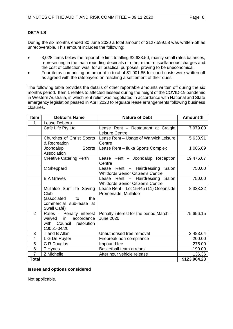### **DETAILS**

During the six months ended 30 June 2020 a total amount of \$127,599.58 was written-off as unrecoverable. This amount includes the following:

- 3,028 items below the reportable limit totalling \$2,633.50, mainly small rates balances, representing in the main rounding decimals or other minor miscellaneous charges and the cost of collection was, for all practical purposes, proving to be uneconomical.
- Four items comprising an amount in total of \$1,001.85 for court costs were written off as agreed with the ratepayers on reaching a settlement of their dues.

The following table provides the details of other reportable amounts written off during the six months period. Item 1 relates to affected lessees during the height of the COVID-19 pandemic in Western Australia, in which rent relief was negotiated in accordance with National and State emergency legislation passed in April 2020 to regulate lease arrangements following business closures.

| <b>Item</b>             | <b>Debtor's Name</b>                                                                                    | <b>Nature of Debt</b>                                                             | Amount \$    |
|-------------------------|---------------------------------------------------------------------------------------------------------|-----------------------------------------------------------------------------------|--------------|
| 1                       | Lease Debtors                                                                                           |                                                                                   |              |
|                         | Café Life Pty Ltd                                                                                       | Lease Rent - Restaurant at Craigie<br>Leisure Centre                              | 7,979.00     |
|                         | Churches of Christ Sports<br>& Recreation                                                               | Lease Rent - Usage of Warwick Leisure<br>Centre                                   | 5,638.91     |
|                         | <b>Sports</b><br>Joondalup<br>Association                                                               | Lease Rent - Iluka Sports Complex                                                 | 1,086.69     |
|                         | <b>Creative Catering Perth</b>                                                                          | Lease Rent - Joondalup Reception<br>Centre                                        | 19,476.07    |
|                         | C Sheppard                                                                                              | Rent - Hairdressing<br>Salon<br>Lease<br><b>Whitfords Senior Citizen's Centre</b> | 750.00       |
|                         | <b>B A Graves</b>                                                                                       | Lease Rent - Hairdressing Salon<br><b>Whitfords Senior Citizen's Centre</b>       | 750.00       |
|                         | Mullaloo Surf life Saving<br>Club<br>(associated<br>the<br>to<br>commercial sub-lease at<br>Swell Café) | Lease Rent - Lot 15445 (11) Oceanside<br>Promenade, Mullaloo                      | 8,333.32     |
| 2                       | Rates - Penalty interest<br>in<br>accordance<br>waived<br>with Council<br>resolution<br>CJ051-04/20     | Penalty interest for the period March -<br><b>June 2020</b>                       | 75,656.15    |
| 3                       | T and B Allan                                                                                           | Unauthorised tree removal                                                         | 3,483.64     |
| $\overline{\mathbf{4}}$ | L G De Ruyter                                                                                           | Firebreak non-compliance                                                          | 200.00       |
| 5                       | C R Douglas                                                                                             | Impound fee                                                                       | 275.00       |
| 6                       | T Hynes                                                                                                 | Basketball team arrears                                                           | 199.09       |
| $\overline{7}$          | Z Michelle                                                                                              | After hour vehicle release                                                        | 136.36       |
| <b>Total</b>            |                                                                                                         |                                                                                   | \$123,964.23 |

#### **Issues and options considered**

Not applicable.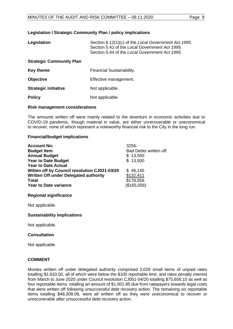#### **Legislation / Strategic Community Plan / policy implications**

| Legislation                     | Section 6.12(1)(c) of the Local Government Act 1995.<br>Section 5.42 of the Local Government Act 1995.<br>Section 5.44 of the Local Government Act 1995. |
|---------------------------------|----------------------------------------------------------------------------------------------------------------------------------------------------------|
| <b>Strategic Community Plan</b> |                                                                                                                                                          |
| Key theme                       | Financial Sustainability.                                                                                                                                |
| <b>Objective</b>                | Effective management.                                                                                                                                    |
| <b>Strategic initiative</b>     | Not applicable.                                                                                                                                          |
| <b>Policy</b>                   | Not applicable.                                                                                                                                          |

#### **Risk management considerations**

The amounts written off were mainly related to the downturn in economic activities due to COVID-19 pandemic, though material in value, are either unrecoverable or uneconomical to recover, none of which represent a noteworthy financial risk to the City in the long run.

#### **Financial/budget implications**

| <b>Account No:</b><br><b>Budget Item</b>           | 3256.<br>Bad Debts written off. |
|----------------------------------------------------|---------------------------------|
| <b>Annual Budget</b><br><b>Year to Date Budget</b> | \$13,500<br>\$13,500            |
| <b>Year to Date Actual</b>                         |                                 |
| Witten off by Council resolution CJ031-03/20       | \$46,145                        |
| Written Off under Delegated authority              | \$132,411                       |
| <b>Total</b>                                       | \$178,556                       |
| <b>Year to Date variance</b>                       | (\$165,056)                     |

#### **Regional significance**

Not applicable.

#### **Sustainability implications**

Not applicable.

#### **Consultation**

Not applicable.

#### **COMMENT**

Monies written off under delegated authority comprised 3,028 small items of unpaid rates totalling \$2,633.50, all of which were below the \$100 reportable limit, and rates penalty interest from March to June 2020 under Council resolution CJ051-04/20 totalling \$75,656.15 as well as four reportable items, totalling an amount of \$1,001.85 due from ratepayers towards legal costs that were written off following unsuccessful debt recovery action. The remaining six reportable items totalling \$48,308.08, were all written off as they were uneconomical to recover or unrecoverable after unsuccessful debt recovery action.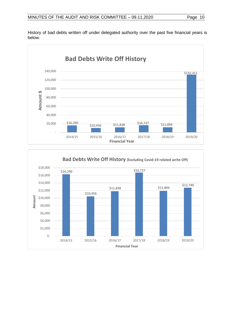

History of bad debts written off under delegated authority over the past five financial years is below.

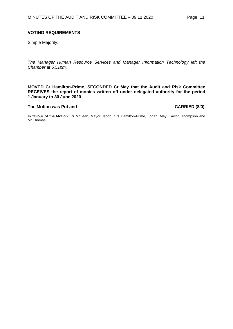#### **VOTING REQUIREMENTS**

Simple Majority.

*The Manager Human Resource Services and Manager Information Technology left the Chamber at 5.51pm.*

**MOVED Cr Hamilton-Prime, SECONDED Cr May that the Audit and Risk Committee RECEIVES the report of monies written off under delegated authority for the period 1 January to 30 June 2020.**

#### **The Motion was Put and CARRIED (8/0)**

**In favour of the Motion:** Cr McLean, Mayor Jacob, Crs Hamilton-Prime, Logan, May, Taylor, Thompson and Mr Thomas.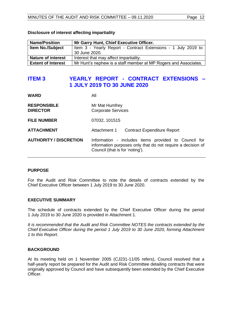| <b>Name/Position</b>      | Mr Garry Hunt, Chief Executive Officer.                         |  |  |
|---------------------------|-----------------------------------------------------------------|--|--|
| <b>Item No./Subject</b>   | Item 3 - Yearly Report - Contract Extensions - 1 July 2019 to   |  |  |
|                           | 30 June 2020.                                                   |  |  |
| <b>Nature of interest</b> | Interest that may affect impartiality.                          |  |  |
| <b>Extent of Interest</b> | Mr Hunt's nephew is a staff member at MP Rogers and Associates. |  |  |

#### **Disclosure of interest affecting impartiality**

# <span id="page-11-0"></span>**ITEM 3 YEARLY REPORT - CONTRACT EXTENSIONS – 1 JULY 2019 TO 30 JUNE 2020**

| WARD                                  | Αll                                                                                                                                                    |
|---------------------------------------|--------------------------------------------------------------------------------------------------------------------------------------------------------|
| <b>RESPONSIBLE</b><br><b>DIRECTOR</b> | Mr Mat Humfrey<br><b>Corporate Services</b>                                                                                                            |
| <b>FILE NUMBER</b>                    | 07032, 101515                                                                                                                                          |
| <b>ATTACHMENT</b>                     | Attachment 1<br><b>Contract Expenditure Report</b>                                                                                                     |
| <b>AUTHORITY / DISCRETION</b>         | Information - includes items provided to Council for<br>information purposes only that do not require a decision of<br>Council (that is for 'noting'). |

#### **PURPOSE**

For the Audit and Risk Committee to note the details of contracts extended by the Chief Executive Officer between 1 July 2019 to 30 June 2020.

#### **EXECUTIVE SUMMARY**

The schedule of contracts extended by the Chief Executive Officer during the period 1 July 2019 to 30 June 2020 is provided in Attachment 1.

*It is recommended that the Audit and Risk Committee NOTES the contracts extended by the Chief Executive Officer during the period 1 July 2019 to 30 June 2020, forming Attachment 1 to this Report.*

#### **BACKGROUND**

At its meeting held on 1 November 2005 (CJ231-11/05 refers), Council resolved that a half-yearly report be prepared for the Audit and Risk Committee detailing contracts that were originally approved by Council and have subsequently been extended by the Chief Executive Officer.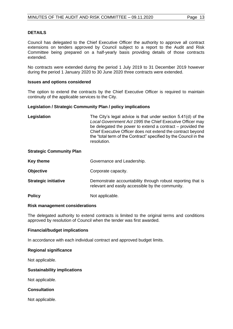#### **DETAILS**

Council has delegated to the Chief Executive Officer the authority to approve all contract extensions on tenders approved by Council subject to a report to the Audit and Risk Committee being prepared on a half-yearly basis providing details of those contracts extended.

No contracts were extended during the period 1 July 2019 to 31 December 2019 however during the period 1 January 2020 to 30 June 2020 three contracts were extended.

#### **Issues and options considered**

The option to extend the contracts by the Chief Executive Officer is required to maintain continuity of the applicable services to the City.

#### **Legislation / Strategic Community Plan / policy implications**

| Legislation | The City's legal advice is that under section 5.41(d) of the<br>Local Government Act 1995 the Chief Executive Officer may<br>be delegated the power to extend a contract $-$ provided the<br>Chief Executive Officer does not extend the contract beyond<br>the "total term of the Contract" specified by the Council in the |
|-------------|------------------------------------------------------------------------------------------------------------------------------------------------------------------------------------------------------------------------------------------------------------------------------------------------------------------------------|
|             | resolution.                                                                                                                                                                                                                                                                                                                  |

#### **Strategic Community Plan**

| Key theme                   | Governance and Leadership.                                                                                      |  |
|-----------------------------|-----------------------------------------------------------------------------------------------------------------|--|
| <b>Objective</b>            | Corporate capacity.                                                                                             |  |
| <b>Strategic initiative</b> | Demonstrate accountability through robust reporting that is<br>relevant and easily accessible by the community. |  |
| <b>Policy</b>               | Not applicable.                                                                                                 |  |

#### **Risk management considerations**

The delegated authority to extend contracts is limited to the original terms and conditions approved by resolution of Council when the tender was first awarded.

#### **Financial/budget implications**

In accordance with each individual contract and approved budget limits.

#### **Regional significance**

Not applicable.

#### **Sustainability implications**

Not applicable.

#### **Consultation**

Not applicable.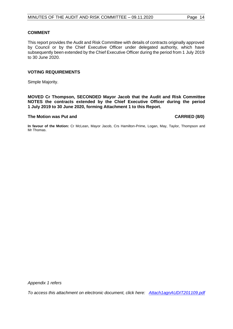#### **COMMENT**

This report provides the Audit and Risk Committee with details of contracts originally approved by Council or by the Chief Executive Officer under delegated authority, which have subsequently been extended by the Chief Executive Officer during the period from 1 July 2019 to 30 June 2020.

#### **VOTING REQUIREMENTS**

Simple Majority.

**MOVED Cr Thompson, SECONDED Mayor Jacob that the Audit and Risk Committee NOTES the contracts extended by the Chief Executive Officer during the period 1 July 2019 to 30 June 2020, forming Attachment 1 to this Report.**

#### **The Motion was Put and CARRIED (8/0)**

**In favour of the Motion:** Cr McLean, Mayor Jacob, Crs Hamilton-Prime, Logan, May, Taylor, Thompson and Mr Thomas.

*Appendix 1 refers*

*To access this attachment on electronic document, click h[ere: Attach1agnAUDIT201109.pdf](http://www.joondalup.wa.gov.au/files/committees/AURI/2020/Attach1agnAUDIT201109.pdf)*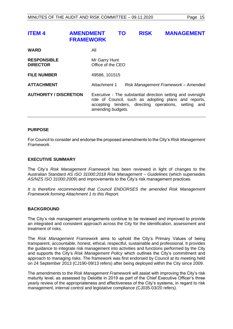# <span id="page-14-0"></span>**ITEM 4 AMENDMENT TO RISK MANAGEMENT FRAMEWORK**

| <b>WARD</b>                           | All                                                                                                                                                                                              |  |  |
|---------------------------------------|--------------------------------------------------------------------------------------------------------------------------------------------------------------------------------------------------|--|--|
| <b>RESPONSIBLE</b><br><b>DIRECTOR</b> | Mr Garry Hunt<br>Office of the CEO                                                                                                                                                               |  |  |
| <b>FILE NUMBER</b>                    | 49586, 101515                                                                                                                                                                                    |  |  |
| <b>ATTACHMENT</b>                     | Attachment 1<br>Risk Management Framework - Amended                                                                                                                                              |  |  |
| <b>AUTHORITY / DISCRETION</b>         | Executive - The substantial direction setting and oversight<br>role of Council, such as adopting plans and reports,<br>accepting tenders, directing operations, setting and<br>amending budgets. |  |  |

#### **PURPOSE**

For Council to consider and endorse the proposed amendments to the City's *Risk Management Framework*.

#### **EXECUTIVE SUMMARY**

The City's *Risk Management Framework* has been reviewed in light of changes to the Australian Standard *AS ISO 31000:2018 Risk Management – Guidelines* (which supersedes *AS/NZS ISO 31000:2009*) and improvements to the City's risk management practices.

*It is therefore recommended that Council ENDORSES the amended Risk Management Framework forming Attachment 1 to this Report.*

#### **BACKGROUND**

The City's risk management arrangements continue to be reviewed and improved to provide an integrated and consistent approach across the City for the identification, assessment and treatment of risks.

The *Risk Management Framework* aims to uphold the City's Primary Values of being transparent, accountable, honest, ethical, respectful, sustainable and professional. It provides the guidance to integrate risk management into activities and functions performed by the City and supports the City's *Risk Management Policy* which outlines the City's commitment and approach to managing risks. The framework was first endorsed by Council at its meeting held on 24 September 2013 (CJ190-09/13 refers) after being deployed within the City since 2009.

The amendments to the *Risk Management Framework* will assist with improving the City's risk maturity level, as assessed by Deloitte in 2019 as part of the Chief Executive Officer's three yearly review of the appropriateness and effectiveness of the City's systems, in regard to risk management, internal control and legislative compliance (CJ035-03/20 refers).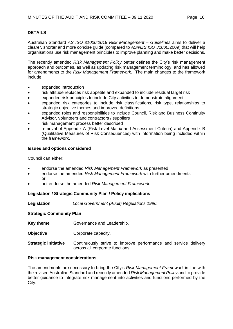### **DETAILS**

Australian Standard *AS ISO 31000:2018 Risk Management – Guidelines* aims to deliver a clearer, shorter and more concise guide (compared to *AS/NZS ISO 31000:*2009) that will help organisations use risk management principles to improve planning and make better decisions.

The recently amended *Risk Management Policy* better defines the City's risk management approach and outcomes, as well as updating risk management terminology, and has allowed for amendments to the *Risk Management Framework.* The main changes to the framework include:

- expanded introduction
- risk attitude replaces risk appetite and expanded to include residual target risk
- expanded risk principles to include City activities to demonstrate alignment
- expanded risk categories to include risk classifications, risk type, relationships to strategic objective themes and improved definitions
- expanded roles and responsibilities to include Council, Risk and Business Continuity Advisor, volunteers and contractors / suppliers
- risk management process better described
- removal of Appendix A (Risk Level Matrix and Assessment Criteria) and Appendix B (Qualitative Measures of Risk Consequences) with information being included within the framework.

#### **Issues and options considered**

Council can either:

- endorse the amended *Risk Management Framework* as presented
- endorse the amended *Risk Management Framework* with further amendments or
- not endorse the amended *Risk Management Framework*.

#### **Legislation / Strategic Community Plan / Policy implications**

**Legislation** *Local Government (Audit) Regulations 1996.*

#### **Strategic Community Plan**

- **Key theme Governance and Leadership.**
- **Objective Corporate capacity.**
- **Strategic initiative** Continuously strive to improve performance and service delivery across all corporate functions.

#### **Risk management considerations**

The amendments are necessary to bring the City's *Risk Management Framework* in line with the revised Australian Standard and recently amended *Risk Management Policy* and to provide better guidance to integrate risk management into activities and functions performed by the City.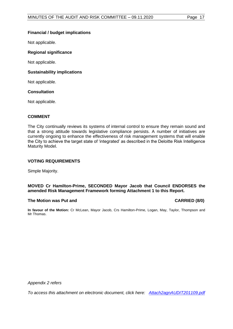### **Financial / budget implications**

Not applicable.

#### **Regional significance**

Not applicable.

#### **Sustainability implications**

Not applicable.

#### **Consultation**

Not applicable.

#### **COMMENT**

The City continually reviews its systems of internal control to ensure they remain sound and that a strong attitude towards legislative compliance persists. A number of initiatives are currently ongoing to enhance the effectiveness of risk management systems that will enable the City to achieve the target state of 'integrated' as described in the Deloitte Risk Intelligence Maturity Model.

#### **VOTING REQUIREMENTS**

Simple Majority.

#### **MOVED Cr Hamilton-Prime, SECONDED Mayor Jacob that Council ENDORSES the amended Risk Management Framework forming Attachment 1 to this Report.**

#### **The Motion was Put and CARRIED (8/0)**

**In favour of the Motion:** Cr McLean, Mayor Jacob, Crs Hamilton-Prime, Logan, May, Taylor, Thompson and Mr Thomas.

*Appendix 2 refers*

*To access this attachment on electronic document, click h[ere: Attach2agnAUDIT201109.pdf](http://www.joondalup.wa.gov.au/files/committees/AURI/2020/Attach2agnAUDIT201109.pdf)*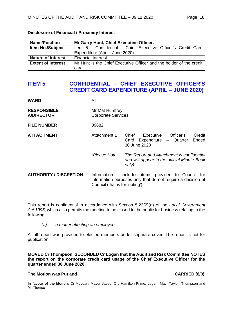| <b>Name/Position</b>      | Mr Garry Hunt, Chief Executive Officer.                             |  |  |
|---------------------------|---------------------------------------------------------------------|--|--|
| <b>Item No./Subject</b>   | Item 5 - Confidential - Chief Executive Officer's Credit Card       |  |  |
|                           | Expenditure (April - June 2020).                                    |  |  |
| <b>Nature of interest</b> | Financial Interest.                                                 |  |  |
| <b>Extent of Interest</b> | Mr Hunt is the Chief Executive Officer and the holder of the credit |  |  |
|                           | card.                                                               |  |  |

#### **Disclosure of Financial / Proximity Interest**

# <span id="page-17-0"></span>**ITEM 5 CONFIDENTIAL - CHIEF EXECUTIVE OFFICER'S CREDIT CARD EXPENDITURE (APRIL – JUNE 2020)**

| <b>WARD</b>                             | All                                                                                                                                                    |                                                                                                     |  |
|-----------------------------------------|--------------------------------------------------------------------------------------------------------------------------------------------------------|-----------------------------------------------------------------------------------------------------|--|
| <b>RESPONSIBLE</b><br><b>A/DIRECTOR</b> | Mr Mat Humfrey<br><b>Corporate Services</b>                                                                                                            |                                                                                                     |  |
| <b>FILE NUMBER</b>                      | 09882                                                                                                                                                  |                                                                                                     |  |
| <b>ATTACHMENT</b>                       | Attachment 1                                                                                                                                           | Executive<br>Officer's<br>Credit<br>Chief<br>Ended<br>Expenditure – Quarter<br>Card<br>30 June 2020 |  |
|                                         | (Please Note:                                                                                                                                          | The Report and Attachment is confidential<br>and will appear in the official Minute Book<br>only)   |  |
| <b>AUTHORITY / DISCRETION</b>           | Information - includes items provided to Council for<br>information purposes only that do not require a decision of<br>Council (that is for 'noting'). |                                                                                                     |  |

This report is confidential in accordance with Section 5.23(2)(a) of the *Local Government Act 1995*, which also permits the meeting to be closed to the public for business relating to the following:

*(a) a matter affecting an employee.*

A full report was provided to elected members under separate cover. The report is not for publication.

**MOVED Cr Thompson, SECONDED Cr Logan that the Audit and Risk Committee NOTES the report on the corporate credit card usage of the Chief Executive Officer for the quarter ended 30 June 2020.**

#### **The Motion was Put and CARRIED (8/0)**

**In favour of the Motion:** Cr McLean, Mayor Jacob, Crs Hamilton-Prime, Logan, May, Taylor, Thompson and Mr Thomas.